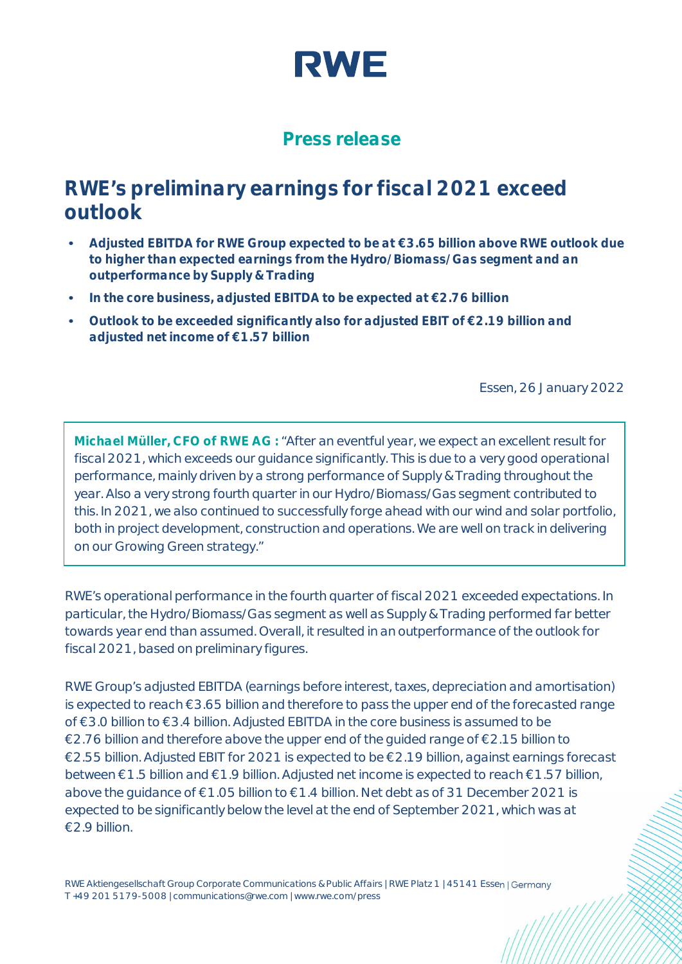

## **Press release**

# **RWE's preliminary earnings for fiscal 2021 exceed outlook**

- **• Adjusted EBITDA for RWE Group expected to be at €3.65 billion above RWE outlook due to higher than expected earnings from the Hydro/Biomass/Gas segment and an outperformance by Supply & Trading**
- **• In the core business, adjusted EBITDA to be expected at €2.76 billion**
- **• Outlook to be exceeded significantly also for adjusted EBIT of €2.19 billion and adjusted net income of €1.57 billion**

Essen, 26 January 2022

**Michael Müller, CFO of RWE AG :** "After an eventful year, we expect an excellent result for fiscal 2021, which exceeds our guidance significantly. This is due to a very good operational performance, mainly driven by a strong performance of Supply & Trading throughout the year. Also a very strong fourth quarter in our Hydro/Biomass/Gas segment contributed to this. In 2021, we also continued to successfully forge ahead with our wind and solar portfolio, both in project development, construction and operations. We are well on track in delivering on our Growing Green strategy."

RWE's operational performance in the fourth quarter of fiscal 2021 exceeded expectations. In particular, the Hydro/Biomass/Gas segment as well as Supply & Trading performed far better towards year end than assumed. Overall, it resulted in an outperformance of the outlook for fiscal 2021, based on preliminary figures.

RWE Group's adjusted EBITDA (earnings before interest, taxes, depreciation and amortisation) is expected to reach €3.65 billion and therefore to pass the upper end of the forecasted range of €3.0 billion to €3.4 billion. Adjusted EBITDA in the core business is assumed to be €2.76 billion and therefore above the upper end of the quided range of €2.15 billion to €2.55 billion. Adjusted EBIT for 2021 is expected to be €2.19 billion, against earnings forecast between €1.5 billion and €1.9 billion. Adjusted net income is expected to reach €1.57 billion, above the guidance of €1.05 billion to €1.4 billion. Net debt as of 31 December 2021 is expected to be significantly below the level at the end of September 2021, which was at €2.9 billion.

RWE Aktiengesellschaft Group Corporate Communications & Public Affairs | RWE Platz 1 | 45141 Essen | Germany T +49 201 5179-5008 | communications@rwe.com | www.rwe.com/press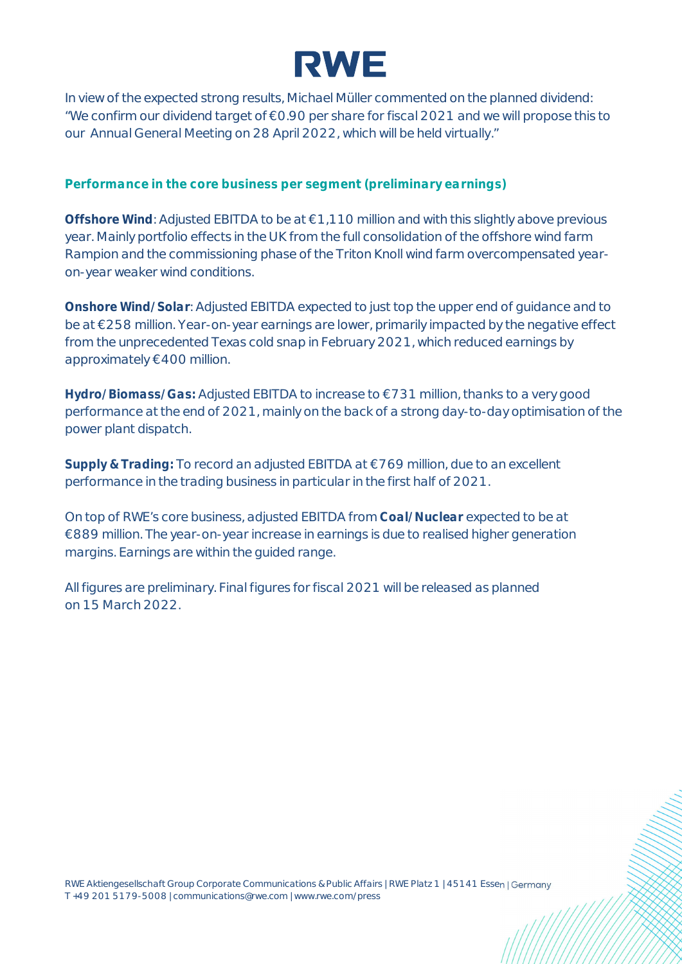

In view of the expected strong results, Michael Müller commented on the planned dividend: "We confirm our dividend target of €0.90 per share for fiscal 2021 and we will propose this to our Annual General Meeting on 28 April 2022, which will be held virtually."

**Performance in the core business per segment (preliminary earnings)**

**Offshore Wind**: Adjusted EBITDA to be at €1,110 million and with this slightly above previous year. Mainly portfolio effects in the UK from the full consolidation of the offshore wind farm Rampion and the commissioning phase of the Triton Knoll wind farm overcompensated yearon-year weaker wind conditions.

**Onshore Wind/Solar**: Adjusted EBITDA expected to just top the upper end of guidance and to be at €258 million. Year-on-year earnings are lower, primarily impacted by the negative effect from the unprecedented Texas cold snap in February 2021, which reduced earnings by approximately €400 million.

**Hydro/Biomass/Gas:** Adjusted EBITDA to increase to €731 million, thanks to a very good performance at the end of 2021, mainly on the back of a strong day-to-day optimisation of the power plant dispatch.

**Supply & Trading:** To record an adjusted EBITDA at €769 million, due to an excellent performance in the trading business in particular in the first half of 2021.

On top of RWE's core business, adjusted EBITDA from **Coal/Nuclear** expected to be at €889 million. The year-on-year increase in earnings is due to realised higher generation margins. Earnings are within the guided range.

All figures are preliminary. Final figures for fiscal 2021 will be released as planned on 15 March 2022.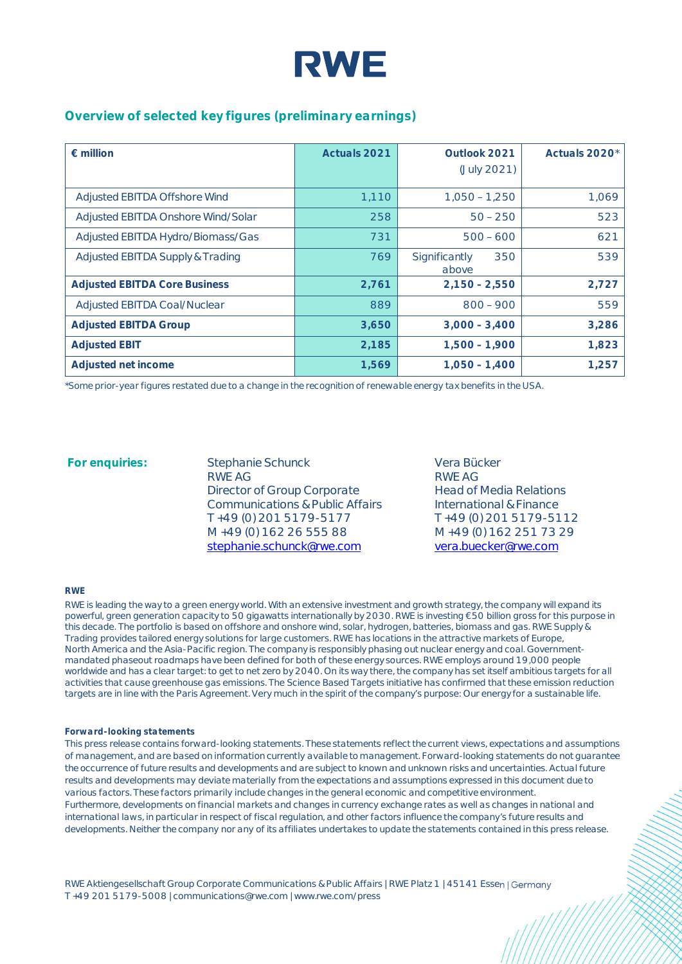

### **Overview of selected key figures (preliminary earnings)**

| $\epsilon$ million                   | Actuals 2021 | Outlook 2021<br>(July 2021)   | Actuals 2020* |
|--------------------------------------|--------------|-------------------------------|---------------|
| Adjusted EBITDA Offshore Wind        | 1,110        | $1.050 - 1.250$               | 1,069         |
| Adjusted EBITDA Onshore Wind/Solar   | 258          | $50 - 250$                    | 523           |
| Adjusted EBITDA Hydro/Biomass/Gas    | 731          | $500 - 600$                   | 621           |
| Adjusted EBITDA Supply & Trading     | 769          | Significantly<br>350<br>above | 539           |
| <b>Adjusted EBITDA Core Business</b> | 2,761        | $2.150 - 2.550$               | 2,727         |
| Adjusted EBITDA Coal/Nuclear         | 889          | $800 - 900$                   | 559           |
| <b>Adjusted EBITDA Group</b>         | 3,650        | $3,000 - 3,400$               | 3,286         |
| <b>Adjusted EBIT</b>                 | 2,185        | $1,500 - 1,900$               | 1,823         |
| Adjusted net income                  | 1,569        | $1.050 - 1.400$               | 1.257         |

*\*Some prior-year figures restated due to a change in the recognition of renewable energy tax benefits in the USA.*

For enquiries: Stephanie Schunck RWE AG Director of Group Corporate Communications & Public Affairs T +49 (0) 201 5179-5177 M +49 (0) 162 26 555 88 [stephanie.schunck@rwe.com](mailto:stephanie.schunck@rwe.com)

Vera Bücker RWE AG Head of Media Relations International & Finance T +49 (0) 201 5179-5112 M +49 (0) 162 251 73 29 [vera.buecker@rwe.com](mailto:vera.buecker@rwe.com)

#### **RWE**

RWE is leading the way to a green energy world. With an extensive investment and growth strategy, the company will expand its powerful, green generation capacity to 50 gigawatts internationally by 2030. RWE is investing €50 billion gross for this purpose in this decade. The portfolio is based on offshore and onshore wind, solar, hydrogen, batteries, biomass and gas. RWE Supply & Trading provides tailored energy solutions for large customers. RWE has locations in the attractive markets of Europe, North America and the Asia-Pacific region. The company is responsibly phasing out nuclear energy and coal. Governmentmandated phaseout roadmaps have been defined for both of these energy sources. RWE employs around 19,000 people worldwide and has a clear target: to get to net zero by 2040. On its way there, the company has set itself ambitious targets for all activities that cause greenhouse gas emissions. The Science Based Targets initiative has confirmed that these emission reduction targets are in line with the Paris Agreement. Very much in the spirit of the company's purpose: Our energy for a sustainable life.

#### *Forward-looking statements*

*This press release contains forward-looking statements. These statements reflect the current views, expectations and assumptions of management, and are based on information currently available to management. Forward-looking statements do not guarantee the occurrence of future results and developments and are subject to known and unknown risks and uncertainties. Actual future results and developments may deviate materially from the expectations and assumptions expressed in this document due to various factors. These factors primarily include changes in the general economic and competitive environment. Furthermore, developments on financial markets and changes in currency exchange rates as well as changes in national and international laws, in particular in respect of fiscal regulation, and other factors influence the company's future results and developments. Neither the company nor any of its affiliates undertakes to update the statements contained in this press release.*

RWE Aktiengesellschaft Group Corporate Communications & Public Affairs | RWE Platz 1 | 45141 Essen | Germany T +49 201 5179-5008 | communications@rwe.com | www.rwe.com/press